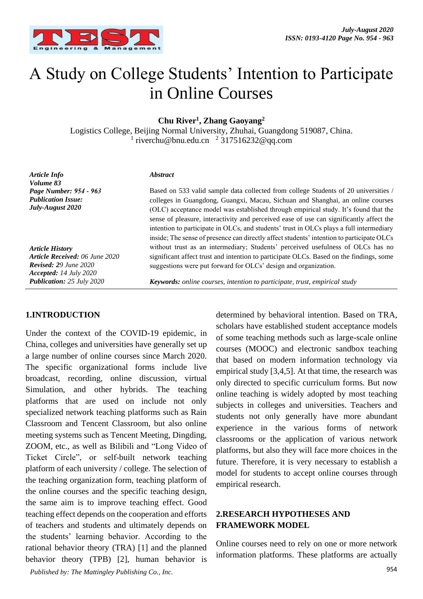

# A Study on College Students' Intention to Participate in Online Courses

**Chu River1, Zhang Gaoyang2**

Logistics College, Beijing Normal University, Zhuhai, Guangdong 519087, China. <sup>1</sup> riverchu@bnu.edu.cn <sup>2</sup> 317516232@qq.com

*Article Info Volume 83 Page Number: 954 - 963 Publication Issue: July-August 2020* 

*Article History Article Received: 06 June 2020 Revised: 29 June 2020 Accepted: 14 July 2020 Publication: 25 July 2020*

#### *Abstract*

Based on 533 valid sample data collected from college Students of 20 universities / colleges in Guangdong, Guangxi, Macau, Sichuan and Shanghai, an online courses (OLC) acceptance model was established through empirical study. It's found that the sense of pleasure, interactivity and perceived ease of use can significantly affect the intention to participate in OLCs, and students' trust in OLCs plays a full intermediary inside; The sense of presence can directly affect students' intention to participate OLCs without trust as an intermediary; Students' perceived usefulness of OLCs has no significant affect trust and intention to participate OLCs. Based on the findings, some suggestions were put forward for OLCs' design and organization.

*Keywords: online courses, intention to participate, trust, empirical study*

## **1.INTRODUCTION**

954 *Published by: The Mattingley Publishing Co., Inc.* Under the context of the COVID-19 epidemic, in China, colleges and universities have generally set up a large number of online courses since March 2020. The specific organizational forms include live broadcast, recording, online discussion, virtual Simulation, and other hybrids. The teaching platforms that are used on include not only specialized network teaching platforms such as Rain Classroom and Tencent Classroom, but also online meeting systems such as Tencent Meeting, Dingding, ZOOM, etc., as well as Bilibili and "Long Video of Ticket Circle", or self-built network teaching platform of each university / college. The selection of the teaching organization form, teaching platform of the online courses and the specific teaching design, the same aim is to improve teaching effect. Good teaching effect depends on the cooperation and efforts of teachers and students and ultimately depends on the students' learning behavior. According to the rational behavior theory (TRA) [1] and the planned behavior theory (TPB) [2], human behavior is

determined by behavioral intention. Based on TRA, scholars have established student acceptance models of some teaching methods such as large-scale online courses (MOOC) and electronic sandbox teaching that based on modern information technology via empirical study [3,4,5]. At that time, the research was only directed to specific curriculum forms. But now online teaching is widely adopted by most teaching subjects in colleges and universities. Teachers and students not only generally have more abundant experience in the various forms of network classrooms or the application of various network platforms, but also they will face more choices in the future. Therefore, it is very necessary to establish a model for students to accept online courses through empirical research.

### **2.RESEARCH HYPOTHESES AND FRAMEWORK MODEL**

Online courses need to rely on one or more network information platforms. These platforms are actually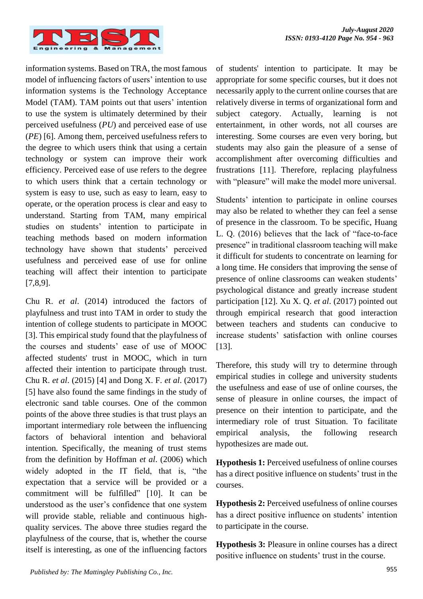

information systems. Based on TRA, the most famous model of influencing factors of users' intention to use information systems is the Technology Acceptance Model (TAM). TAM points out that users' intention to use the system is ultimately determined by their perceived usefulness (*PU*) and perceived ease of use (*PE*) [6]. Among them, perceived usefulness refers to the degree to which users think that using a certain technology or system can improve their work efficiency. Perceived ease of use refers to the degree to which users think that a certain technology or system is easy to use, such as easy to learn, easy to operate, or the operation process is clear and easy to understand. Starting from TAM, many empirical studies on students' intention to participate in teaching methods based on modern information technology have shown that students' perceived usefulness and perceived ease of use for online teaching will affect their intention to participate [7,8,9].

Chu R. *et al*. (2014) introduced the factors of playfulness and trust into TAM in order to study the intention of college students to participate in MOOC [3]. This empirical study found that the playfulness of the courses and students' ease of use of MOOC affected students' trust in MOOC, which in turn affected their intention to participate through trust. Chu R. *et al*. (2015) [4] and Dong X. F. *et al*. (2017) [5] have also found the same findings in the study of electronic sand table courses. One of the common points of the above three studies is that trust plays an important intermediary role between the influencing factors of behavioral intention and behavioral intention. Specifically, the meaning of trust stems from the definition by Hoffman *et al*. (2006) which widely adopted in the IT field, that is, "the expectation that a service will be provided or a commitment will be fulfilled" [10]. It can be understood as the user's confidence that one system will provide stable, reliable and continuous highquality services. The above three studies regard the playfulness of the course, that is, whether the course itself is interesting, as one of the influencing factors of students' intention to participate. It may be appropriate for some specific courses, but it does not necessarily apply to the current online courses that are relatively diverse in terms of organizational form and subject category. Actually, learning is not entertainment, in other words, not all courses are interesting. Some courses are even very boring, but students may also gain the pleasure of a sense of accomplishment after overcoming difficulties and frustrations [11]. Therefore, replacing playfulness with "pleasure" will make the model more universal.

Students' intention to participate in online courses may also be related to whether they can feel a sense of presence in the classroom. To be specific, Huang L. Q. (2016) believes that the lack of "face-to-face presence" in traditional classroom teaching will make it difficult for students to concentrate on learning for a long time. He considers that improving the sense of presence of online classrooms can weaken students' psychological distance and greatly increase student participation [12]. Xu X. Q. *et al*. (2017) pointed out through empirical research that good interaction between teachers and students can conducive to increase students' satisfaction with online courses [13].

Therefore, this study will try to determine through empirical studies in college and university students the usefulness and ease of use of online courses, the sense of pleasure in online courses, the impact of presence on their intention to participate, and the intermediary role of trust Situation. To facilitate empirical analysis, the following research hypothesizes are made out.

**Hypothesis 1:** Perceived usefulness of online courses has a direct positive influence on students' trust in the courses.

**Hypothesis 2:** Perceived usefulness of online courses has a direct positive influence on students' intention to participate in the course.

**Hypothesis 3:** Pleasure in online courses has a direct positive influence on students' trust in the course.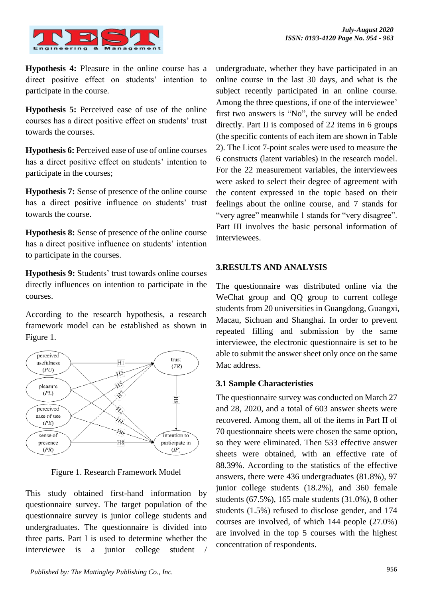

**Hypothesis 4:** Pleasure in the online course has a direct positive effect on students' intention to participate in the course.

**Hypothesis 5:** Perceived ease of use of the online courses has a direct positive effect on students' trust towards the courses.

**Hypothesis 6:** Perceived ease of use of online courses has a direct positive effect on students' intention to participate in the courses;

**Hypothesis 7:** Sense of presence of the online course has a direct positive influence on students' trust towards the course.

**Hypothesis 8:** Sense of presence of the online course has a direct positive influence on students' intention to participate in the courses.

**Hypothesis 9:** Students' trust towards online courses directly influences on intention to participate in the courses.

According to the research hypothesis, a research framework model can be established as shown in Figure 1.



Figure 1. Research Framework Model

This study obtained first-hand information by questionnaire survey. The target population of the questionnaire survey is junior college students and undergraduates. The questionnaire is divided into three parts. Part I is used to determine whether the interviewee is a junior college student

undergraduate, whether they have participated in an online course in the last 30 days, and what is the subject recently participated in an online course. Among the three questions, if one of the interviewee' first two answers is "No", the survey will be ended directly. Part II is composed of 22 items in 6 groups (the specific contents of each item are shown in Table 2). The Licot 7-point scales were used to measure the 6 constructs (latent variables) in the research model. For the 22 measurement variables, the interviewees were asked to select their degree of agreement with the content expressed in the topic based on their feelings about the online course, and 7 stands for "very agree" meanwhile 1 stands for "very disagree". Part III involves the basic personal information of interviewees.

## **3.RESULTS AND ANALYSIS**

The questionnaire was distributed online via the WeChat group and QQ group to current college students from 20 universities in Guangdong, Guangxi, Macau, Sichuan and Shanghai. In order to prevent repeated filling and submission by the same interviewee, the electronic questionnaire is set to be able to submit the answer sheet only once on the same Mac address.

## **3.1 Sample Characteristies**

The questionnaire survey was conducted on March 27 and 28, 2020, and a total of 603 answer sheets were recovered. Among them, all of the items in Part II of 70 questionnaire sheets were chosen the same option, so they were eliminated. Then 533 effective answer sheets were obtained, with an effective rate of 88.39%. According to the statistics of the effective answers, there were 436 undergraduates (81.8%), 97 junior college students (18.2%), and 360 female students (67.5%), 165 male students (31.0%), 8 other students (1.5%) refused to disclose gender, and 174 courses are involved, of which 144 people (27.0%) are involved in the top 5 courses with the highest concentration of respondents.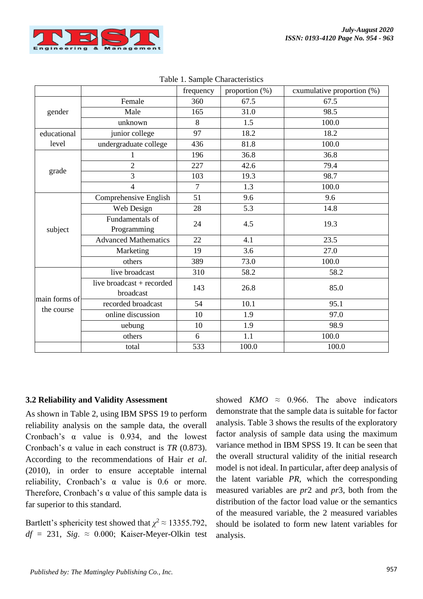

|               |                             | frequency      | proportion (%) | exumulative proportion (%) |  |
|---------------|-----------------------------|----------------|----------------|----------------------------|--|
|               | Female                      | 360            | 67.5           | 67.5                       |  |
| gender        | Male                        | 165            | 31.0           | 98.5                       |  |
|               | unknown                     | 8              | 1.5            | 100.0                      |  |
| educational   | junior college              | 97             | 18.2           | 18.2                       |  |
| level         | undergraduate college       | 436            | 81.8           | 100.0                      |  |
|               | $\mathbf{1}$                | 196            | 36.8           | 36.8                       |  |
|               | $\overline{2}$              | 227            | 42.6           | 79.4                       |  |
| grade         | 3                           | 103            | 19.3           | 98.7                       |  |
|               | $\overline{4}$              | $\overline{7}$ | 1.3            | 100.0                      |  |
|               | Comprehensive English       | 51             | 9.6            | 9.6                        |  |
|               | Web Design                  | 28             | 5.3            | 14.8                       |  |
|               | Fundamentals of             | 24             | 4.5            | 19.3                       |  |
| subject       | Programming                 |                |                |                            |  |
|               | <b>Advanced Mathematics</b> | 22             | 4.1            | 23.5                       |  |
|               | Marketing                   | 19             | 3.6            | 27.0                       |  |
|               | others                      | 389            | 73.0           | 100.0                      |  |
|               | live broadcast              | 310            | 58.2           | 58.2                       |  |
|               | live broadcast + recorded   | 143            | 26.8           | 85.0                       |  |
| main forms of | broadcast                   |                |                |                            |  |
|               | recorded broadcast          | 54             | 10.1           | 95.1                       |  |
| the course    | online discussion           | 10             | 1.9            | 97.0                       |  |
|               | uebung                      | 10             | 1.9            | 98.9                       |  |
|               | others                      | 6              | 1.1            | 100.0                      |  |
|               | total                       | 533            | 100.0          | 100.0                      |  |

Table 1. Sample Characteristics

#### **3.2 Reliability and Validity Assessment**

As shown in Table 2, using IBM SPSS 19 to perform reliability analysis on the sample data, the overall Cronbach's α value is 0.934, and the lowest Cronbach's α value in each construct is *TR* (0.873). According to the recommendations of Hair *et al*. (2010), in order to ensure acceptable internal reliability, Cronbach's α value is 0.6 or more. Therefore, Cronbach's  $\alpha$  value of this sample data is far superior to this standard.

Bartlett's sphericity test showed that  $\chi^2 \approx 13355.792$ ,  $df = 231$ , *Sig.*  $\approx$  0.000; Kaiser-Meyer-Olkin test

showed *KMO*  $\approx$  0.966. The above indicators demonstrate that the sample data is suitable for factor analysis. Table 3 shows the results of the exploratory factor analysis of sample data using the maximum variance method in IBM SPSS 19. It can be seen that the overall structural validity of the initial research model is not ideal. In particular, after deep analysis of the latent variable *PR*, which the corresponding measured variables are *pr*2 and *pr*3, both from the distribution of the factor load value or the semantics of the measured variable, the 2 measured variables should be isolated to form new latent variables for analysis.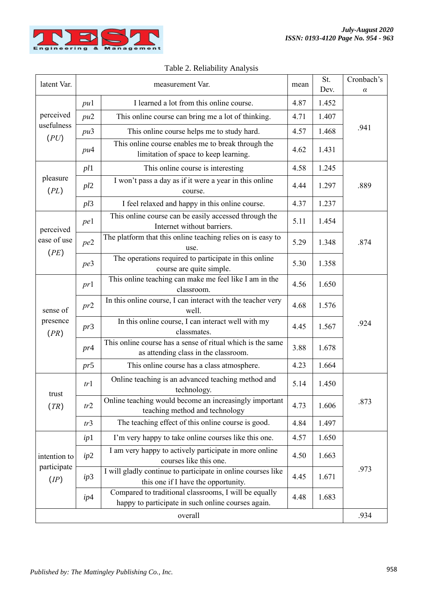

|                                     |     |                                                                                                             |      | St.   | Cronbach's |  |  |
|-------------------------------------|-----|-------------------------------------------------------------------------------------------------------------|------|-------|------------|--|--|
| latent Var.                         |     | measurement Var.                                                                                            | mean | Dev.  | $\alpha$   |  |  |
| perceived<br>usefulness<br>(PU)     | pu1 | I learned a lot from this online course.                                                                    | 4.87 | 1.452 |            |  |  |
|                                     | pu2 | This online course can bring me a lot of thinking.                                                          | 4.71 | 1.407 |            |  |  |
|                                     | pu3 | This online course helps me to study hard.                                                                  | 4.57 | 1.468 | .941       |  |  |
|                                     | pu4 | This online course enables me to break through the<br>limitation of space to keep learning.                 | 4.62 | 1.431 |            |  |  |
|                                     | pl1 | This online course is interesting                                                                           | 4.58 | 1.245 |            |  |  |
| pleasure<br>(PL)                    | pl2 | I won't pass a day as if it were a year in this online<br>course.                                           | 4.44 | 1.297 | .889       |  |  |
|                                     | pl3 | I feel relaxed and happy in this online course.                                                             | 4.37 | 1.237 |            |  |  |
| perceived                           | pe1 | This online course can be easily accessed through the<br>Internet without barriers.                         | 5.11 | 1.454 | .874       |  |  |
| ease of use<br>(PE)                 | pe2 | The platform that this online teaching relies on is easy to<br>use.                                         | 5.29 | 1.348 |            |  |  |
|                                     | pe3 | The operations required to participate in this online<br>course are quite simple.                           | 5.30 | 1.358 |            |  |  |
|                                     | pr1 | This online teaching can make me feel like I am in the<br>classroom.                                        | 4.56 | 1.650 |            |  |  |
| sense of                            | pr2 | In this online course, I can interact with the teacher very<br>well.                                        | 4.68 | 1.576 |            |  |  |
| presence<br>(PR)                    | pr3 | In this online course, I can interact well with my<br>classmates.                                           | 4.45 | 1.567 | .924       |  |  |
|                                     | pr4 | This online course has a sense of ritual which is the same<br>as attending class in the classroom.          | 3.88 | 1.678 |            |  |  |
|                                     | pr5 | This online course has a class atmosphere.                                                                  | 4.23 | 1.664 |            |  |  |
| trust<br>(TR)                       | tr1 | Online teaching is an advanced teaching method and<br>technology.                                           | 5.14 | 1.450 | .873       |  |  |
|                                     | tr2 | Online teaching would become an increasingly important<br>teaching method and technology                    | 4.73 | 1.606 |            |  |  |
|                                     | tr3 | The teaching effect of this online course is good.                                                          | 4.84 | 1.497 |            |  |  |
| intention to<br>participate<br>(IP) | ip1 | I'm very happy to take online courses like this one.                                                        | 4.57 | 1.650 |            |  |  |
|                                     | ip2 | I am very happy to actively participate in more online<br>courses like this one.                            | 4.50 | 1.663 |            |  |  |
|                                     | ip3 | I will gladly continue to participate in online courses like<br>this one if I have the opportunity.         | 4.45 | 1.671 | .973       |  |  |
|                                     | ip4 | Compared to traditional classrooms, I will be equally<br>happy to participate in such online courses again. | 4.48 | 1.683 |            |  |  |
| overall                             |     |                                                                                                             |      |       |            |  |  |

#### Table 2. Reliability Analysis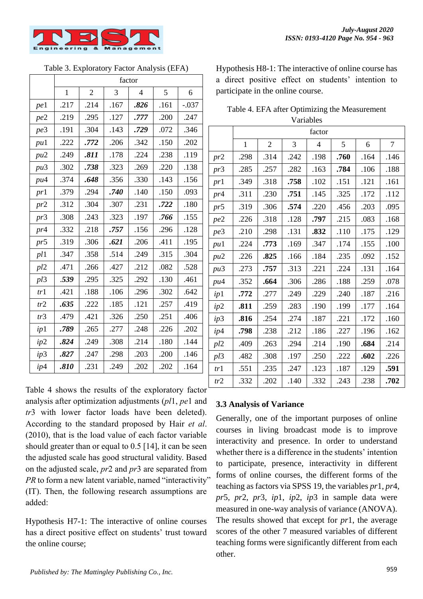

Table 3. Exploratory Factor Analysis (EFA)

|     | factor       |                |      |                |      |         |  |  |
|-----|--------------|----------------|------|----------------|------|---------|--|--|
|     | $\mathbf{1}$ | $\overline{2}$ | 3    | $\overline{4}$ | 5    | 6       |  |  |
| pe1 | .217         | .214           | .167 | .826           | .161 | $-.037$ |  |  |
| pe2 | .219         | .295           | .127 | .777           | .200 | .247    |  |  |
| pe3 | .191         | .304           | .143 | .729           | .072 | .346    |  |  |
| pu1 | .222         | .772           | .206 | .342           | .150 | .202    |  |  |
| pu2 | .249         | .811           | .178 | .224           | .238 | .119    |  |  |
| pu3 | .302         | .738           | .323 | .269           | .220 | .138    |  |  |
| pu4 | .374         | .648           | .356 | .330           | .143 | .156    |  |  |
| pr1 | .379         | .294           | .740 | .140           | .150 | .093    |  |  |
| pr2 | .312         | .304           | .307 | .231           | .722 | .180    |  |  |
| pr3 | .308         | .243           | .323 | .197           | .766 | .155    |  |  |
| pr4 | .332         | .218           | .757 | .156           | .296 | .128    |  |  |
| pr5 | .319         | .306           | .621 | .206           | .411 | .195    |  |  |
| pl1 | .347         | .358           | .514 | .249           | .315 | .304    |  |  |
| pl2 | .471         | .266           | .427 | .212           | .082 | .528    |  |  |
| pl3 | .539         | .295           | .325 | .292           | .130 | .461    |  |  |
| tr1 | .421         | .188           | .106 | .296           | .302 | .642    |  |  |
| tr2 | .635         | .222           | .185 | .121           | .257 | .419    |  |  |
| tr3 | .479         | .421           | .326 | .250           | .251 | .406    |  |  |
| ip1 | .789         | .265           | .277 | .248           | .226 | .202    |  |  |
| ip2 | .824         | .249           | .308 | .214           | .180 | .144    |  |  |
| ip3 | .827         | .247           | .298 | .203           | .200 | .146    |  |  |

Table 4 shows the results of the exploratory factor analysis after optimization adjustments (*pl*1, *pe*1 and *tr*3 with lower factor loads have been deleted). According to the standard proposed by Hair *et al*. (2010), that is the load value of each factor variable should greater than or equal to 0.5 [14], it can be seen the adjusted scale has good structural validity. Based on the adjusted scale, *pr*2 and *pr*3 are separated from *PR* to form a new latent variable, named "interactivity" (IT). Then, the following research assumptions are added:

*ip*4 **.810** .231 .249 .249 .202 .202 .164

Hypothesis H7-1: The interactive of online courses has a direct positive effect on students' trust toward the online course;

Hypothesis H8-1: The interactive of online course has a direct positive effect on students' intention to participate in the online course.

| Table 4. EFA after Optimizing the Measurement |
|-----------------------------------------------|
| <b>Variables</b>                              |

|     | factor       |                |      |                |      |      |                |
|-----|--------------|----------------|------|----------------|------|------|----------------|
|     | $\mathbf{1}$ | $\overline{2}$ | 3    | $\overline{4}$ | 5    | 6    | $\overline{7}$ |
| pr2 | .298         | .314           | .242 | .198           | .760 | .164 | .146           |
| pr3 | .285         | .257           | .282 | .163           | .784 | .106 | .188           |
| pr1 | .349         | .318           | .758 | .102           | .151 | .121 | .161           |
| pr4 | .311         | .230           | .751 | .145           | .325 | .172 | .112           |
| pr5 | .319         | .306           | .574 | .220           | .456 | .203 | .095           |
| pe2 | .226         | .318           | .128 | .797           | .215 | .083 | .168           |
| pe3 | .210         | .298           | .131 | .832           | .110 | .175 | .129           |
| pu1 | .224         | .773           | .169 | .347           | .174 | .155 | .100           |
| pu2 | .226         | .825           | .166 | .184           | .235 | .092 | .152           |
| pu3 | .273         | .757           | .313 | .221           | .224 | .131 | .164           |
| pu4 | .352         | .664           | .306 | .286           | .188 | .259 | .078           |
| ip1 | .772         | .277           | .249 | .229           | .240 | .187 | .216           |
| ip2 | .811         | .259           | .283 | .190           | .199 | .177 | .164           |
| ip3 | .816         | .254           | .274 | .187           | .221 | .172 | .160           |
| ip4 | .798         | .238           | .212 | .186           | .227 | .196 | .162           |
| pl2 | .409         | .263           | .294 | .214           | .190 | .684 | .214           |
| pl3 | .482         | .308           | .197 | .250           | .222 | .602 | .226           |
| tr1 | .551         | .235           | .247 | .123           | .187 | .129 | .591           |
| tr2 | .332         | .202           | .140 | .332           | .243 | .238 | .702           |

## **3.3 Analysis of Variance**

Generally, one of the important purposes of online courses in living broadcast mode is to improve interactivity and presence. In order to understand whether there is a difference in the students' intention to participate, presence, interactivity in different forms of online courses, the different forms of the teaching as factors via SPSS 19, the variables *pr*1, *pr*4, *pr*5, *pr*2, *pr*3, *ip*1, *ip*2, *ip*3 in sample data were measured in one-way analysis of variance (ANOVA). The results showed that except for *pr*1, the average scores of the other 7 measured variables of different teaching forms were significantly different from each other.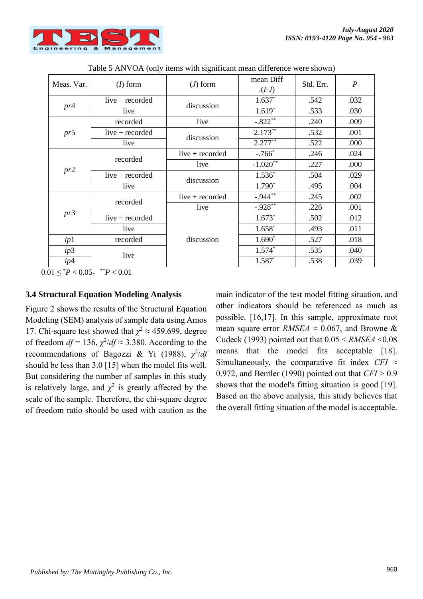

| Meas. Var. | $(I)$ form        | $(J)$ form        | mean Diff<br>$(I-J)$ | Std. Err. | $\boldsymbol{P}$ |
|------------|-------------------|-------------------|----------------------|-----------|------------------|
| pr4        | live $+$ recorded | discussion        | $1.637*$             | .542      | .032             |
|            | live              |                   | $1.619*$             | .533      | .030             |
|            | recorded          | live              | $-.822**$            | .240      | .009             |
| pr5        | live $+$ recorded | discussion        | $2.173**$            | .532      | .001             |
|            | live              |                   | $2.277**$            | .522      | .000             |
|            | recorded          | live $+$ recorded | $-.766*$             | .246      | .024             |
|            |                   | live              | $-1.020**$           | .227      | .000             |
| pr2        | live $+$ recorded | discussion        | $1.536*$             | .504      | .029             |
|            | live              |                   | $1.790*$             | .495      | .004             |
| pr3        | recorded          | live $+$ recorded | $-.944**$            | .245      | .002             |
|            |                   | live              | $-.928**$            | .226      | .001             |
|            | live $+$ recorded |                   | $1.673*$             | .502      | .012             |
|            | live              |                   | $1.658*$             | .493      | .011             |
| ip1        | recorded          | discussion        | $1.690*$             | .527      | .018             |
| ip3        | live              |                   | $1.574*$             | .535      | .040             |
| ip4        |                   |                   | $1.587*$             | .538      | .039             |

Table 5 ANVOA (only items with significant mean difference were shown)

 $0.01 \leq {}^*P < 0.05$ ,  ${}^{**}P < 0.01$ 

### **3.4 Structural Equation Modeling Analysis**

Figure 2 shows the results of the Structural Equation Modeling (SEM) analysis of sample data using Amos 17. Chi-square test showed that  $\chi^2 \approx 459.699$ , degree of freedom  $df = 136$ ,  $\chi^2/df \approx 3.380$ . According to the recommendations of Bagozzi & Yi (1988),  $\chi^2/dt$ should be less than 3.0 [15] when the model fits well. But considering the number of samples in this study is relatively large, and  $\chi^2$  is greatly affected by the scale of the sample. Therefore, the chi-square degree of freedom ratio should be used with caution as the

main indicator of the test model fitting situation, and other indicators should be referenced as much as possible. [16,17]. In this sample, approximate root mean square error *RMSEA*  $\approx$  0.067, and Browne & Cudeck (1993) pointed out that  $0.05 \leq RMSEA \leq 0.08$ means that the model fits acceptable [18]. Simultaneously, the comparative fit index  $CFI \approx$ 0.972, and Bentler (1990) pointed out that *CFI* > 0.9 shows that the model's fitting situation is good [19]. Based on the above analysis, this study believes that the overall fitting situation of the model is acceptable.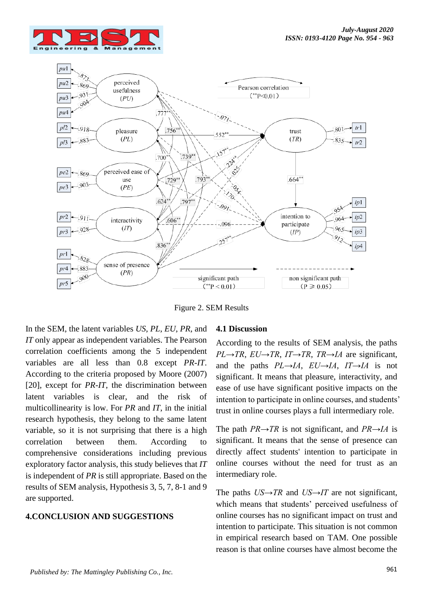



Figure 2. SEM Results

In the SEM, the latent variables *US*, *PL*, *EU*, *PR*, and *IT* only appear as independent variables. The Pearson correlation coefficients among the 5 independent variables are all less than 0.8 except *PR*-*IT*. According to the criteria proposed by Moore (2007) [20], except for *PR*-*IT*, the discrimination between latent variables is clear, and the risk of multicollinearity is low. For *PR* and *IT*, in the initial research hypothesis, they belong to the same latent variable, so it is not surprising that there is a high correlation between them. According to comprehensive considerations including previous exploratory factor analysis, this study believes that *IT* is independent of *PR* is still appropriate. Based on the results of SEM analysis, Hypothesis 3, 5, 7, 8-1 and 9 are supported.

#### **4.CONCLUSION AND SUGGESTIONS**

#### **4.1 Discussion**

According to the results of SEM analysis, the paths *PL→TR*, *EU→TR*, *IT→TR*, *TR→IA* are significant, and the paths  $PL\rightarrow IA$ ,  $EU\rightarrow IA$ ,  $IT\rightarrow IA$  is not significant. It means that pleasure, interactivity, and ease of use have significant positive impacts on the intention to participate in online courses, and students' trust in online courses plays a full intermediary role.

The path *PR→TR* is not significant, and *PR→IA* is significant. It means that the sense of presence can directly affect students' intention to participate in online courses without the need for trust as an intermediary role.

The paths *US→TR* and *US→IT* are not significant, which means that students' perceived usefulness of online courses has no significant impact on trust and intention to participate. This situation is not common in empirical research based on TAM. One possible reason is that online courses have almost become the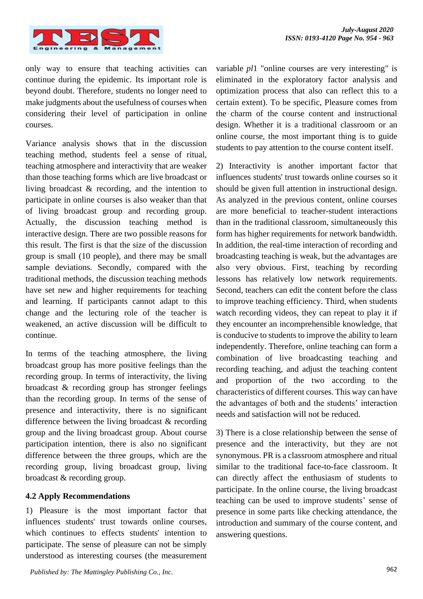

only way to ensure that teaching activities can continue during the epidemic. Its important role is beyond doubt. Therefore, students no longer need to make judgments about the usefulness of courses when considering their level of participation in online courses.

Variance analysis shows that in the discussion teaching method, students feel a sense of ritual, teaching atmosphere and interactivity that are weaker than those teaching forms which are live broadcast or living broadcast & recording, and the intention to participate in online courses is also weaker than that of living broadcast group and recording group. Actually, the discussion teaching method is interactive design. There are two possible reasons for this result. The first is that the size of the discussion group is small (10 people), and there may be small sample deviations. Secondly, compared with the traditional methods, the discussion teaching methods have set new and higher requirements for teaching and learning. If participants cannot adapt to this change and the lecturing role of the teacher is weakened, an active discussion will be difficult to continue.

In terms of the teaching atmosphere, the living broadcast group has more positive feelings than the recording group. In terms of interactivity, the living broadcast & recording group has stronger feelings than the recording group. In terms of the sense of presence and interactivity, there is no significant difference between the living broadcast & recording group and the living broadcast group. About course participation intention, there is also no significant difference between the three groups, which are the recording group, living broadcast group, living broadcast & recording group.

#### **4.2 Apply Recommendations**

1) Pleasure is the most important factor that influences students' trust towards online courses which continues to effects students' intention to participate. The sense of pleasure can not be simply understood as interesting courses (the measurement

variable *pl*1 "online courses are very interesting" is eliminated in the exploratory factor analysis and optimization process that also can reflect this to a certain extent). To be specific, Pleasure comes from the charm of the course content and instructional design. Whether it is a traditional classroom or an online course, the most important thing is to guide students to pay attention to the course content itself.

2) Interactivity is another important factor that influences students' trust towards online courses so it should be given full attention in instructional design. As analyzed in the previous content, online courses are more beneficial to teacher-student interactions than in the traditional classroom, simultaneously this form has higher requirements for network bandwidth. In addition, the real-time interaction of recording and broadcasting teaching is weak, but the advantages are also very obvious. First, teaching by recording lessons has relatively low network requirements. Second, teachers can edit the content before the class to improve teaching efficiency. Third, when students watch recording videos, they can repeat to play it if they encounter an incomprehensible knowledge, that is conducive to students to improve the ability to learn independently. Therefore, online teaching can form a combination of live broadcasting teaching and recording teaching, and adjust the teaching content and proportion of the two according to the characteristics of different courses. This way can have the advantages of both and the students' interaction needs and satisfaction will not be reduced.

3) There is a close relationship between the sense of presence and the interactivity, but they are not synonymous. PR is a classroom atmosphere and ritual similar to the traditional face-to-face classroom. It can directly affect the enthusiasm of students to participate. In the online course, the living broadcast teaching can be used to improve students' sense of presence in some parts like checking attendance, the introduction and summary of the course content, and answering questions.